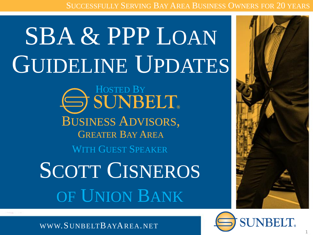SUCCESSFULLY SERVING BAY AREA BUSINESS OWNERS FOR 20 YEARS

## SBA & PPP LOAN GUIDELINE UPDATES

BUSINESS ADVISORS, GREATER BAY AREA **SUNBELT** 

WITH GUEST SPEAKER

SCOTT CISNEROS OF UNION BANK





WWW.SUNBELTBAYAREA.NET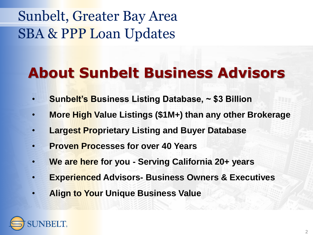## Sunbelt, Greater Bay Area SBA & PPP Loan Updates

## **About Sunbelt Business Advisors**

- **Sunbelt's Business Listing Database, ~ \$3 Billion**
- **More High Value Listings (\$1M+) than any other Brokerage**
- **Largest Proprietary Listing and Buyer Database**
- **Proven Processes for over 40 Years**
- **We are here for you - Serving California 20+ years**
- **Experienced Advisors- Business Owners & Executives**
- **Align to Your Unique Business Value**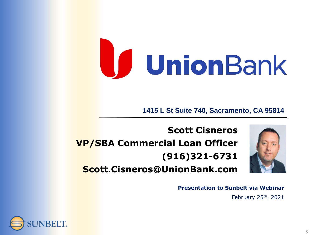# UnionBank

**1415 L St Suite 740, Sacramento, CA 95814**

**Scott Cisneros VP/SBA Commercial Loan Officer (916)321-6731 Scott.Cisneros@UnionBank.com**

**Presentation to Sunbelt via Webinar**

February 25th. 2021

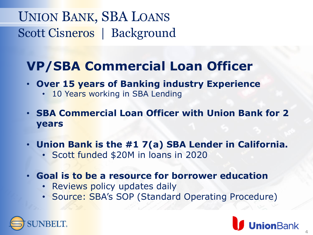## UNION BANK, SBA LOANS Scott Cisneros | Background

## **VP/SBA Commercial Loan Officer**

- **Over 15 years of Banking industry Experience**
	- 10 Years working in SBA Lending
- **SBA Commercial Loan Officer with Union Bank for 2 years**
- **Union Bank is the #1 7(a) SBA Lender in California.**
	- Scott funded \$20M in loans in 2020
- **Goal is to be a resource for borrower education**
	- Reviews policy updates daily
	- Source: SBA's SOP (Standard Operating Procedure)

**ion**Bank

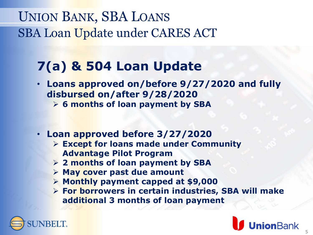## **7(a) & 504 Loan Update**

- **Loans approved on/before 9/27/2020 and fully disbursed on/after 9/28/2020**
	- ➢ **6 months of loan payment by SBA**
- **Loan approved before 3/27/2020**
	- ➢ **Except for loans made under Community Advantage Pilot Program**
	- ➢ **2 months of loan payment by SBA**
	- ➢ **May cover past due amount**
	- ➢ **Monthly payment capped at \$9,000**
	- ➢ **For borrowers in certain industries, SBA will make additional 3 months of loan payment**

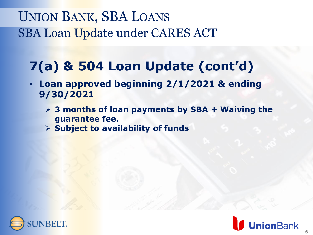## **7(a) & 504 Loan Update (cont'd)**

- **Loan approved beginning 2/1/2021 & ending 9/30/2021**
	- ➢ **3 months of loan payments by SBA + Waiving the guarantee fee.**
	- ➢ **Subject to availability of funds**



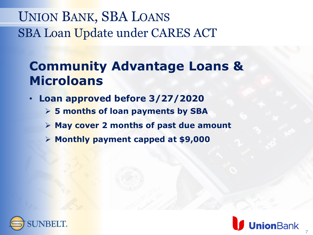## **Community Advantage Loans & Microloans**

- **Loan approved before 3/27/2020**
	- ➢ **5 months of loan payments by SBA**
	- ➢ **May cover 2 months of past due amount**
	- ➢ **Monthly payment capped at \$9,000**



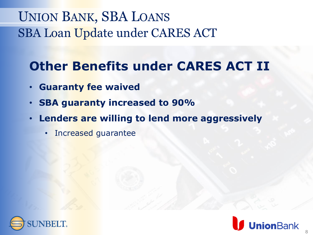## **Other Benefits under CARES ACT II**

- **Guaranty fee waived**
- **SBA guaranty increased to 90%**
- **Lenders are willing to lend more aggressively**
	- Increased guarantee



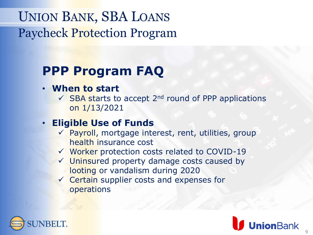## **PPP Program FAQ**

#### • **When to start**

 $\checkmark$  SBA starts to accept 2<sup>nd</sup> round of PPP applications on 1/13/2021

#### • **Eligible Use of Funds**

- $\checkmark$  Payroll, mortgage interest, rent, utilities, group health insurance cost
- ✓ Worker protection costs related to COVID-19
- ✓ Uninsured property damage costs caused by looting or vandalism during 2020
- ✓ Certain supplier costs and expenses for operations



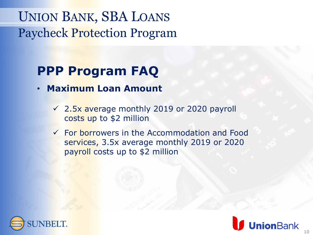## **PPP Program FAQ**

- **Maximum Loan Amount**
	- $\sqrt{2.5x}$  average monthly 2019 or 2020 payroll costs up to \$2 million
	- ✓ For borrowers in the Accommodation and Food services, 3.5x average monthly 2019 or 2020 payroll costs up to \$2 million



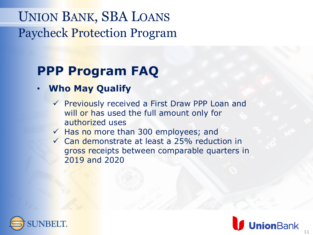## **PPP Program FAQ**

#### • **Who May Qualify**

- ✓ Previously received a First Draw PPP Loan and will or has used the full amount only for authorized uses
- $\checkmark$  Has no more than 300 employees; and
- ✓ Can demonstrate at least a 25% reduction in gross receipts between comparable quarters in 2019 and 2020



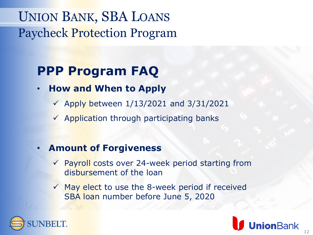## **PPP Program FAQ**

- **How and When to Apply**
	- $\checkmark$  Apply between 1/13/2021 and 3/31/2021
	- $\checkmark$  Application through participating banks
- **Amount of Forgiveness** 
	- ✓ Payroll costs over 24-week period starting from disbursement of the loan
	- ✓ May elect to use the 8-week period if received SBA loan number before June 5, 2020



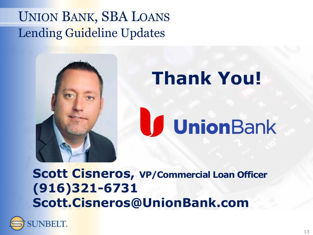## UNION BANK, SBA LOANS Lending Guideline Updates



**Scott Cisneros, VP/Commercial Loan Officer (916)321-6731 Scott.Cisneros@UnionBank.com**